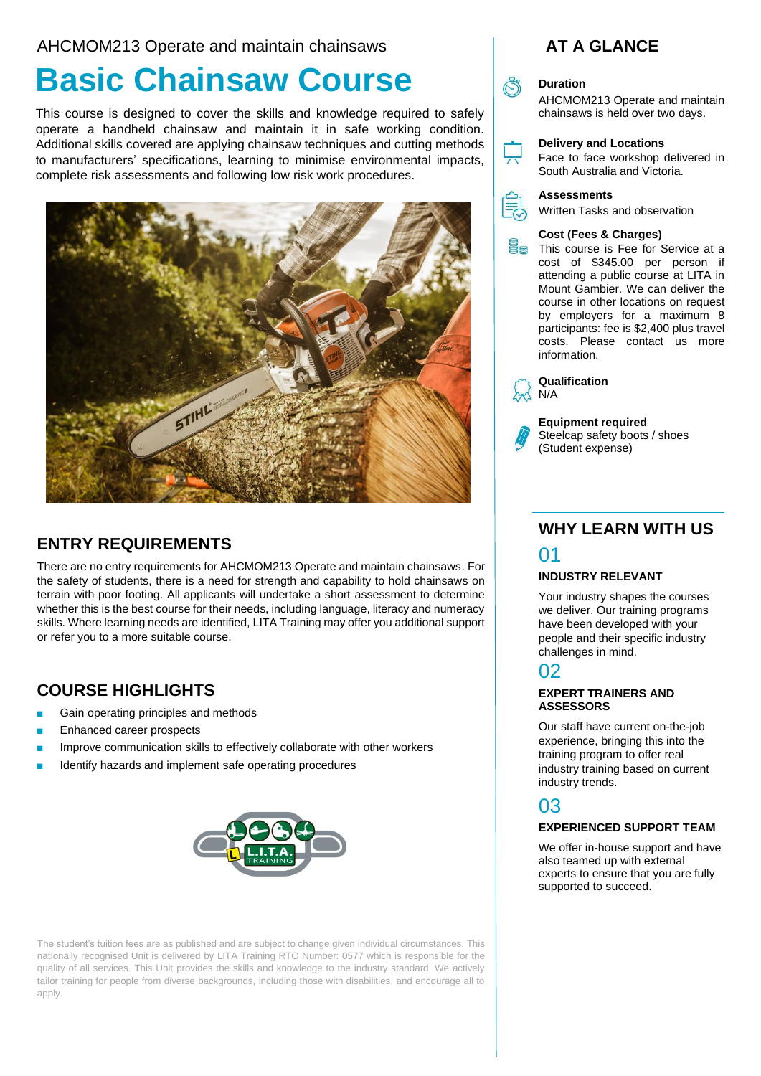## AHCMOM213 Operate and maintain chainsaws

# **Basic Chainsaw Course**

This course is designed to cover the skills and knowledge required to safely operate a handheld chainsaw and maintain it in safe working condition. Additional skills covered are applying chainsaw techniques and cutting methods to manufacturers' specifications, learning to minimise environmental impacts, complete risk assessments and following low risk work procedures.



## **ENTRY REQUIREMENTS**

There are no entry requirements for AHCMOM213 Operate and maintain chainsaws. For the safety of students, there is a need for strength and capability to hold chainsaws on terrain with poor footing. All applicants will undertake a short assessment to determine whether this is the best course for their needs, including language, literacy and numeracy skills. Where learning needs are identified, LITA Training may offer you additional support or refer you to a more suitable course.

# **COURSE HIGHLIGHTS**

- Gain operating principles and methods
- Enhanced career prospects
- Improve communication skills to effectively collaborate with other workers
- Identify hazards and implement safe operating procedures



The student's tuition fees are as published and are subject to change given individual circumstances. This nationally recognised Unit is delivered by LITA Training RTO Number: 0577 which is responsible for the quality of all services. This Unit provides the skills and knowledge to the industry standard. We actively tailor training for people from diverse backgrounds, including those with disabilities, and encourage all to apply.

## **AT A GLANCE**

## **Duration**

AHCMOM213 Operate and maintain chainsaws is held over two days.

#### **Delivery and Locations**

Face to face workshop delivered in South Australia and Victoria.



Written Tasks and observation

#### **Cost (Fees & Charges)**

**This course is Fee for Service at a** cost of \$345.00 per person if attending a public course at LITA in Mount Gambier. We can deliver the course in other locations on request by employers for a maximum 8 participants: fee is \$2,400 plus travel costs. Please contact us more information.



**Qualification** N/A

**Equipment required**  Steelcap safety boots / shoes (Student expense)

## **WHY LEARN WITH US** 01

### **INDUSTRY RELEVANT**

Your industry shapes the courses we deliver. Our training programs have been developed with your people and their specific industry challenges in mind.

# 02

#### **EXPERT TRAINERS AND ASSESSORS**

Our staff have current on-the-job experience, bringing this into the training program to offer real industry training based on current industry trends.

# 03

#### **EXPERIENCED SUPPORT TEAM**

We offer in-house support and have also teamed up with external experts to ensure that you are fully supported to succeed.